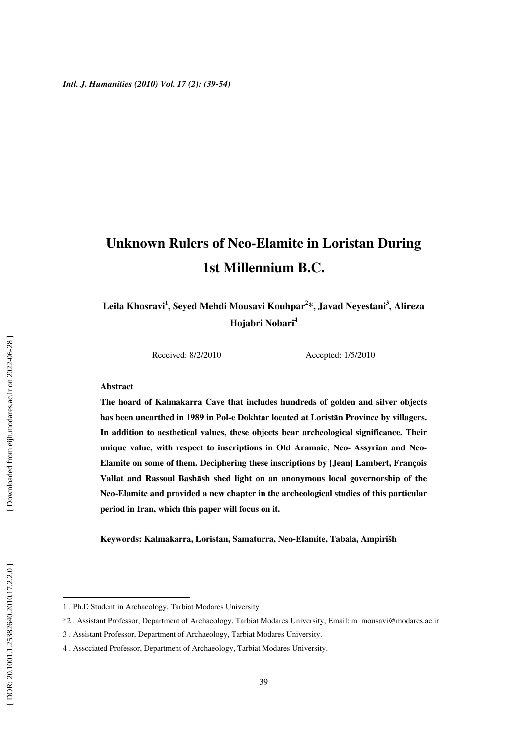# **Unknown Rulers of Neo-Elamite in Loristan During 1st Millennium B.C.**

**Leila Khosravi 1 , Seyed Mehdi Mousavi Kouhpar 2 \*, Javad Neyestani 3 , Alireza Hojabri Nobari 4**

Received: 8/2/2010 Accepted: 1/5/2010

#### **Abstract**

**The hoard of Kalmakarra Cave that includes hundreds of golden and silver objects has been unearthed in 1989 in Pol-e Dokhtar located at Lorist** ā**n Province by villagers. In addition to aesthetical values, these objects bear archeological significance. Their unique value, with respect to inscriptions in Old Aramaic, Neo- Assyrian and Neo-Elamite on some of them. Deciphering these inscriptions by [Jean] Lambert, François**  Vallat and Rassoul Bashash shed light on an anonymous local governorship of the **Neo-Elamite and provided a new chapter in the archeological studies of this particular period in Iran, which this paper will focus on it.** 

**Keywords: Kalmakarra, Loristan, Samaturra, Neo-Elamite, Tabala, Ampirišh** 

<sup>1 .</sup> Ph.D Student in Archaeology, Tarbiat Modares University

<sup>\*2 .</sup> Assistant Professor, Department of Archaeology, Tarbiat Modares University, Email: m\_mousavi@modares.ac.ir

<sup>3 .</sup> Assistant Professor, Department of Archaeology, Tarbiat Modares University.

<sup>4 .</sup> Associated Professor, Department of Archaeology, Tarbiat Modares University.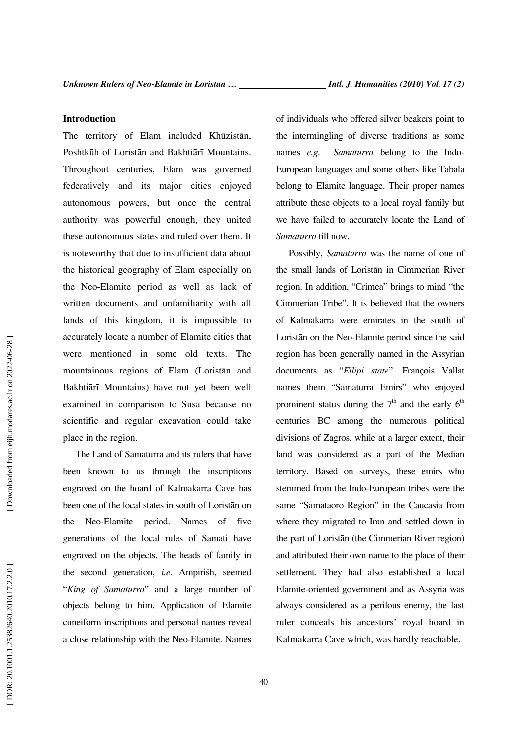#### **Introduction**

The territory of Elam included Kh ūzist ān, Poshtk ūh of Lorist ān and Bakhti ā rī Mountains. Throughout centuries, Elam was governed federatively and its major cities enjoyed autonomous powers, but once the central authority was powerful enough, they united these autonomous states and ruled over them. It is noteworthy that due to insufficient data about the historical geography of Elam especially on the Neo-Elamite period as well as lack of written documents and unfamiliarity with all lands of this kingdom, it is impossible to accurately locate a number of Elamite cities that were mentioned in some old texts. The mountainous regions of Elam (Lorist ān and Bakhti ā rī Mountains) have not yet been well examined in comparison to Susa because no scientific and regular excavation could take place in the region.

The Land of Samaturra and its rulers that have been known to us through the inscriptions engraved on the hoard of Kalmakarra Cave has been one of the local states in south of Lorist ān on the Neo-Elamite period. Names of five generations of the local rules of Samati have engraved on the objects. The heads of family in the second generation, *i.e.* Ampirišh, seemed "*King of Samaturra*" and a large number of objects belong to him. Application of Elamite cuneiform inscriptions and personal names reveal a close relationship with the Neo-Elamite. Names

of individuals who offered silver beakers point to the intermingling of diverse traditions as some names *e.g. Samaturra* belong to the Indo-European languages and some others like Tabala belong to Elamite language. Their proper names attribute these objects to a local royal family but we have failed to accurately locate the Land of *Samaturra* till now.

Possibly, *Samaturra* was the name of one of the small lands of Lorist ān in Cimmerian River region. In addition, "Crimea" brings to mind "the Cimmerian Tribe". It is believed that the owners of Kalmakarra were emirates in the south of Lorist ān on the Neo-Elamite period since the said region has been generally named in the Assyrian documents as "*Ellipi state*". François Vallat names them "Samaturra Emirs" who enjoyed prominent status during the  $7<sup>th</sup>$  and the early  $6<sup>th</sup>$ centuries BC among the numerous political divisions of Zagros, while at a larger extent, their land was considered as a part of the Median territory. Based on surveys, these emirs who stemmed from the Indo-European tribes were the same "Samataoro Region" in the Caucasia from where they migrated to Iran and settled down in the part of Lorist ān (the Cimmerian River region) and attributed their own name to the place of their settlement. They had also established a local Elamite-oriented government and as Assyria was always considered as a perilous enemy, the last ruler conceals his ancestors' royal hoard in Kalmakarra Cave which, was hardly reachable.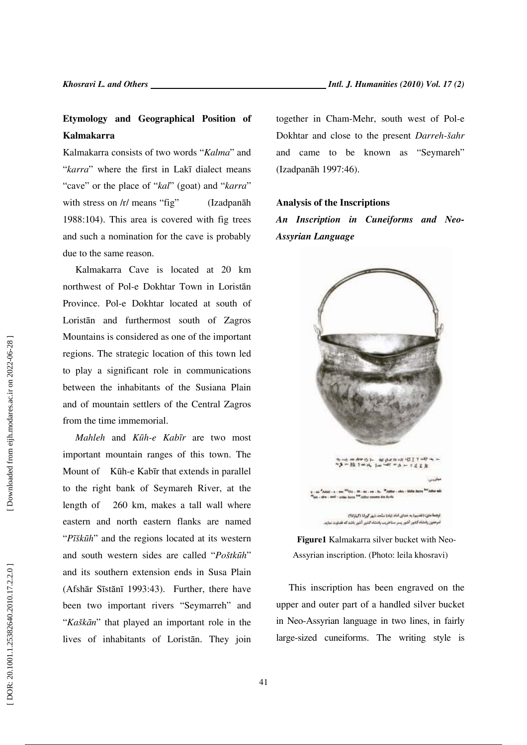### **Etymology and Geographical Position of Kalmakarra**

Kalmakarra consists of two words "*Kalma*" and "*karra*" where the first in Lakī dialect means "cave" or the place of "*kal*" (goat) and "*karra*" with stress on /r/ means "fig" (Izadpanāh 1988:104). This area is covered with fig trees and such a nomination for the cave is probably due to the same reason.

Kalmakarra Cave is located at 20 km northwest of Pol-e Dokhtar Town in Lorist ān Province. Pol-e Dokhtar located at south of Lorist ān and furthermost south of Zagros Mountains is considered as one of the important regions. The strategic location of this town led to play a significant role in communications between the inhabitants of the Susiana Plain and of mountain settlers of the Central Zagros from the time immemorial.

*Mahleh* and *K*ū*h-e Kab* ī*r* are two most important mountain ranges of this town. The Mount of Kūh-e Kabīr that extends in parallel to the right bank of Seymareh River, at the length of 260 km, makes a tall wall where eastern and north eastern flanks are named "*P*ī*šk*ū*h*" and the regions located at its western and south western sides are called "*Poštkūh*" and its southern extension ends in Susa Plain (Afsh ār S īst ā nī 1993:43). Further, there have been two important rivers "Seymarreh" and "*Kašk*ā*n*" that played an important role in the lives of inhabitants of Lorist ān. They join together in Cham-Mehr, south west of Pol-e Dokhtar and close to the present *Darreh-šahr* and came to be known as "Seymareh" (Izadpan āh 1997:46).

#### **Analysis of the Inscriptions**

*An Inscription in Cuneiforms and Neo-Assyrian Language*



**Figure1** Kalmakarra silver bucket with Neo-Assyrian inscription. (Photo: leila khosravi)

This inscription has been engraved on the upper and outer part of a handled silver bucket in Neo-Assyrian language in two lines, in fairly large-sized cuneiforms. The writing style is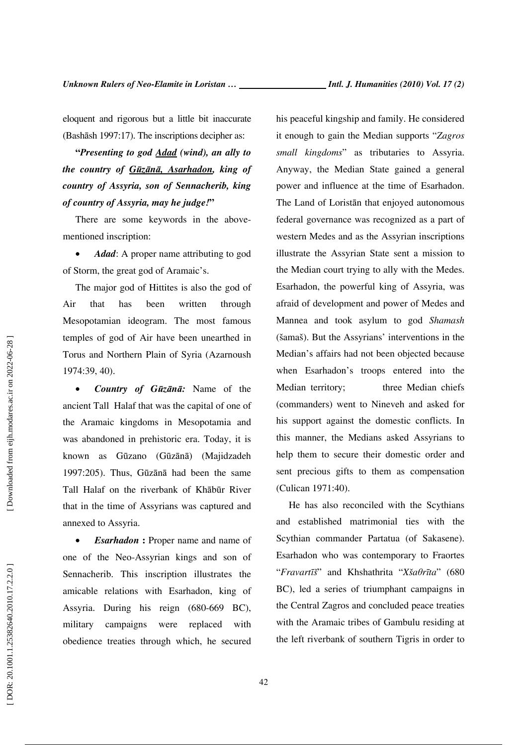eloquent and rigorous but a little bit inaccurate (Bash āsh 1997:17). The inscriptions decipher as:

**"***Presenting to god Adad (wind), an ally to the country of G* ū*z* ā*n* ā*, Asarhadon, king of country of Assyria, son of Sennacherib, king of country of Assyria, may he judge!***"** 

There are some keywords in the abovementioned inscription:

• *Adad*: A proper name attributing to god of Storm, the great god of Aramaic's.

The major god of Hittites is also the god of Air that has been written through Mesopotamian ideogram. The most famous temples of god of Air have been unearthed in Torus and Northern Plain of Syria (Azarnoush 1974:39, 40).

• *Country of Gūzānā:* Name of the ancient Tall Halaf that was the capital of one of the Aramaic kingdoms in Mesopotamia and was abandoned in prehistoric era. Today, it is known as G ūzano (G ū z ā n ā) (Majidzadeh 1997:205). Thus, G ū z ā n ā had been the same Tall Halaf on the riverbank of Kh ā b ūr River that in the time of Assyrians was captured and annexed to Assyria.

• *Esarhadon* **:** Proper name and name of one of the Neo-Assyrian kings and son of Sennacherib. This inscription illustrates the amicable relations with Esarhadon, king of Assyria. During his reign (680-669 BC), military campaigns were replaced with obedience treaties through which, he secured

his peaceful kingship and family. He considered it enough to gain the Median supports "*Zagros small kingdoms*" as tributaries to Assyria. Anyway, the Median State gained a general power and influence at the time of Esarhadon. The Land of Lorist ān that enjoyed autonomous federal governance was recognized as a part of western Medes and as the Assyrian inscriptions illustrate the Assyrian State sent a mission to the Median court trying to ally with the Medes. Esarhadon, the powerful king of Assyria, was afraid of development and power of Medes and Mannea and took asylum to god *Shamash* (šamaš). But the Assyrians' interventions in the Median's affairs had not been objected because when Esarhadon's troops entered into the Median territory; three Median chiefs (commanders) went to Nineveh and asked for his support against the domestic conflicts. In this manner, the Medians asked Assyrians to help them to secure their domestic order and sent precious gifts to them as compensation (Culican 1971:40).

He has also reconciled with the Scythians and established matrimonial ties with the Scythian commander Partatua (of Sakasene). Esarhadon who was contemporary to Fraortes "*Fravart*ī*š*" and Khshathrita "*Xša*θ*r*ī*ta*" (680 BC), led a series of triumphant campaigns in the Central Zagros and concluded peace treaties with the Aramaic tribes of Gambulu residing at the left riverbank of southern Tigris in order to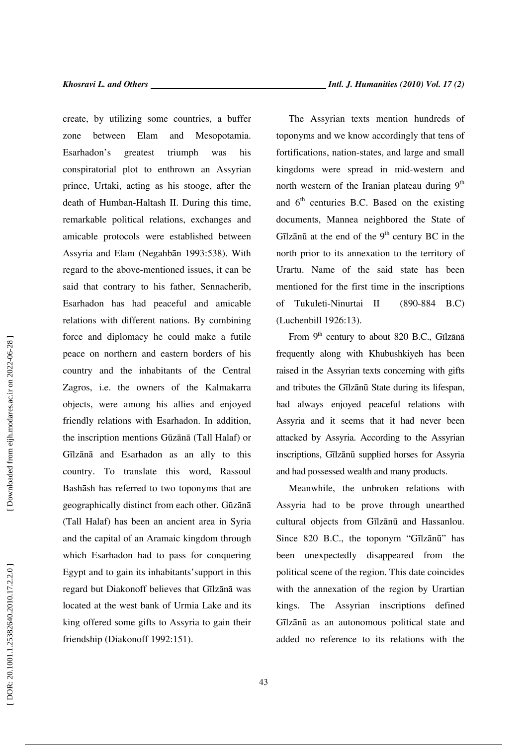create, by utilizing some countries, a buffer zone between Elam and Mesopotamia. Esarhadon's greatest triumph was his conspiratorial plot to enthrown an Assyrian prince, Urtaki, acting as his stooge, after the death of Humban-Haltash II. During this time, remarkable political relations, exchanges and amicable protocols were established between Assyria and Elam (Negahb ān 1993:538). With regard to the above-mentioned issues, it can be said that contrary to his father, Sennacherib, Esarhadon has had peaceful and amicable relations with different nations. By combining force and diplomacy he could make a futile peace on northern and eastern borders of his country and the inhabitants of the Central Zagros, i.e. the owners of the Kalmakarra objects, were among his allies and enjoyed friendly relations with Esarhadon. In addition, the inscription mentions G ū z ā n ā (Tall Halaf) or Gīlz ā n ā and Esarhadon as an ally to this country. To translate this word, Rassoul Bash āsh has referred to two toponyms that are geographically distinct from each other. G ū z ā n ā (Tall Halaf) has been an ancient area in Syria and the capital of an Aramaic kingdom through which Esarhadon had to pass for conquering Egypt and to gain its inhabitants'support in this regard but Diakonoff believes that Gīlz ā n ā was located at the west bank of Urmia Lake and its king offered some gifts to Assyria to gain their friendship (Diakonoff 1992:151).

The Assyrian texts mention hundreds of toponyms and we know accordingly that tens of fortifications, nation-states, and large and small kingdoms were spread in mid-western and north western of the Iranian plateau during  $9<sup>th</sup>$ and  $6<sup>th</sup>$  centuries B.C. Based on the existing documents, Mannea neighbored the State of Gīlzānū at the end of the  $9<sup>th</sup>$  century BC in the north prior to its annexation to the territory of Urartu. Name of the said state has been mentioned for the first time in the inscriptions of Tukuleti-Ninurtai II (890-884 B.C) (Luchenbill 1926:13).

From 9<sup>th</sup> century to about 820 B.C., Gīlzānā frequently along with Khubushkiyeh has been raised in the Assyrian texts concerning with gifts and tributes the Gīlz ā n ū State during its lifespan, had always enjoyed peaceful relations with Assyria and it seems that it had never been attacked by Assyria. According to the Assyrian inscriptions, Gīlz ā n ū supplied horses for Assyria and had possessed wealth and many products.

Meanwhile, the unbroken relations with Assyria had to be prove through unearthed cultural objects from Gīlz ā n ū and Hassanlou. Since 820 B.C., the toponym "Gīlzānū" has been unexpectedly disappeared from the political scene of the region. This date coincides with the annexation of the region by Urartian kings. The Assyrian inscriptions defined G<sup>ī</sup>lzānū as an autonomous political state and added no reference to its relations with the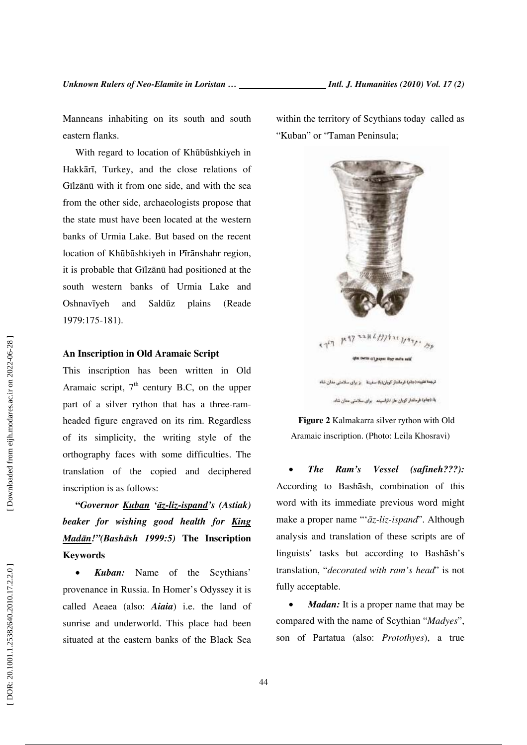Manneans inhabiting on its south and south eastern flanks.

With regard to location of Kh ū b ūshkiyeh in Hakk ā rī, Turkey, and the close relations of Gīlz ā n ū with it from one side, and with the sea from the other side, archaeologists propose that the state must have been located at the western banks of Urmia Lake. But based on the recent location of Kh ū b ūshkiyeh in Pīr ānshahr region, it is probable that Gīlz ā n ū had positioned at the south western banks of Urmia Lake and **Oshnav***y*eh and Saldūz plains (Reade 1979:175-181).

#### **An Inscription in Old Aramaic Script**

This inscription has been written in Old Aramaic script,  $7<sup>th</sup>$  century B.C, on the upper part of a silver rython that has a three-ramheaded figure engraved on its rim. Regardless of its simplicity, the writing style of the orthography faces with some difficulties. The translation of the copied and deciphered inscription is as follows:

**"***Governor Kuban '*ā*z-liz-ispand's (Astiak) beaker for wishing good health for King Mad* ā*n!"(Bash* ā*sh 1999:5)* **The Inscription Keywords** 

• *Kuban:* Name of the Scythians' provenance in Russia. In Homer's Odyssey it is called Aeaea (also: *Aiaia*) i.e. the land of sunrise and underworld. This place had been situated at the eastern banks of the Black Sea within the territory of Scythians today called as "Kuban" or "Taman Peninsula;



**Figure 2** Kalmakarra silver rython with Old Aramaic inscription. (Photo: Leila Khosravi)

• *The Ram's Vessel (safineh???):* According to Bash āsh, combination of this word with its immediate previous word might make a proper name "' ā*z-liz-ispand*". Although analysis and translation of these scripts are of linguists' tasks but according to Bash āsh's translation, "*decorated with ram's head*" is not fully acceptable.

• *Madan:* It is a proper name that may be compared with the name of Scythian "*Madyes*", son of Partatua (also: *Protothyes*), a true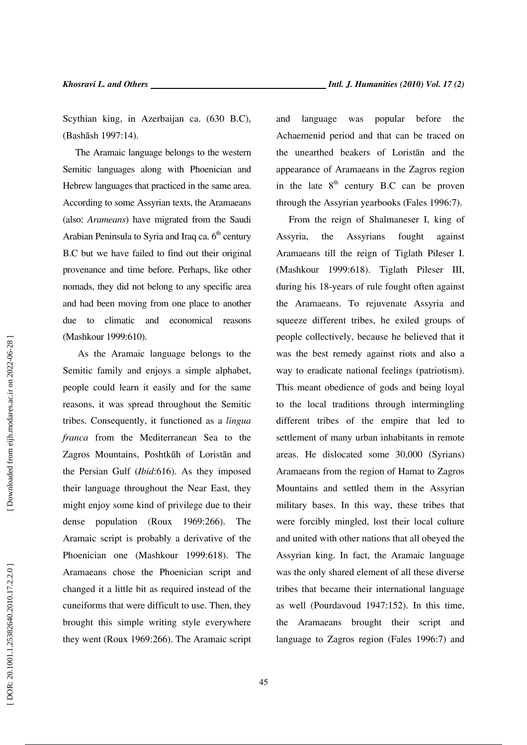Scythian king, in Azerbaijan ca. (630 B.C), (Bash āsh 1997:14).

The Aramaic language belongs to the western Semitic languages along with Phoenician and Hebrew languages that practiced in the same area. According to some Assyrian texts, the Aramaeans (also: *Arameans*) have migrated from the Saudi Arabian Peninsula to Syria and Iraq ca.  $6<sup>th</sup>$  century B.C but we have failed to find out their original provenance and time before. Perhaps, like other nomads, they did not belong to any specific area and had been moving from one place to another due to climatic and economical reasons (Mashkour 1999:610).

 As the Aramaic language belongs to the Semitic family and enjoys a simple alphabet, people could learn it easily and for the same reasons, it was spread throughout the Semitic tribes. Consequently, it functioned as a *lingua franca* from the Mediterranean Sea to the Zagros Mountains, Poshtk ūh of Lorist ān and the Persian Gulf (*Ibid*:616). As they imposed their language throughout the Near East, they might enjoy some kind of privilege due to their dense population (Roux 1969:266). The Aramaic script is probably a derivative of the Phoenician one (Mashkour 1999:618). The Aramaeans chose the Phoenician script and changed it a little bit as required instead of the cuneiforms that were difficult to use. Then, they brought this simple writing style everywhere they went (Roux 1969:266). The Aramaic script

and language was popular before the Achaemenid period and that can be traced on the unearthed beakers of Lorist ān and the appearance of Aramaeans in the Zagros region in the late  $8<sup>th</sup>$  century B.C can be proven through the Assyrian yearbooks (Fales 1996:7).

From the reign of Shalmaneser I, king of Assyria, the Assyrians fought against Aramaeans till the reign of Tiglath Pileser I. (Mashkour 1999:618). Tiglath Pileser III, during his 18-years of rule fought often against the Aramaeans. To rejuvenate Assyria and squeeze different tribes, he exiled groups of people collectively, because he believed that it was the best remedy against riots and also a way to eradicate national feelings (patriotism). This meant obedience of gods and being loyal to the local traditions through intermingling different tribes of the empire that led to settlement of many urban inhabitants in remote areas. He dislocated some 30,000 (Syrians) Aramaeans from the region of Hamat to Zagros Mountains and settled them in the Assyrian military bases. In this way, these tribes that were forcibly mingled, lost their local culture and united with other nations that all obeyed the Assyrian king. In fact, the Aramaic language was the only shared element of all these diverse tribes that became their international language as well (Pourdavoud 1947:152). In this time, the Aramaeans brought their script and language to Zagros region (Fales 1996:7) and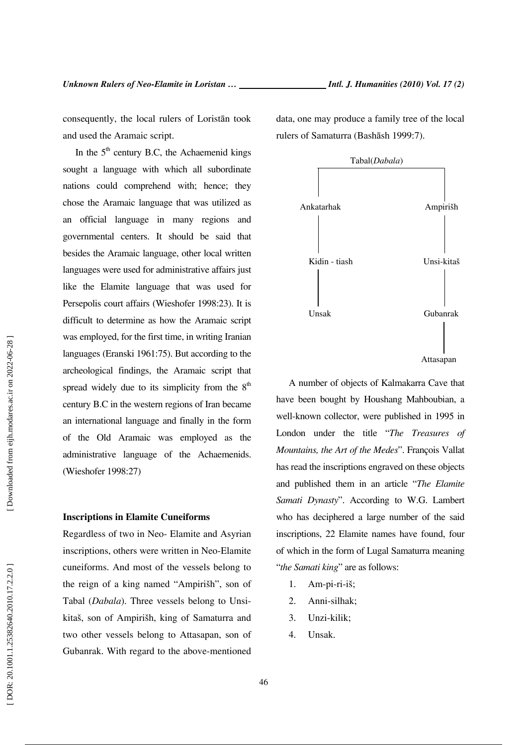consequently, the local rulers of Lorist ān took and used the Aramaic script.

In the  $5<sup>th</sup>$  century B.C, the Achaemenid kings sought a language with which all subordinate nations could comprehend with; hence; they chose the Aramaic language that was utilized as an official language in many regions and governmental centers. It should be said that besides the Aramaic language, other local written languages were used for administrative affairs just like the Elamite language that was used for Persepolis court affairs (Wieshofer 1998:23). It is difficult to determine as how the Aramaic script was employed, for the first time, in writing Iranian languages (Eranski 1961:75). But according to the archeological findings, the Aramaic script that spread widely due to its simplicity from the  $8<sup>th</sup>$ century B.C in the western regions of Iran became an international language and finally in the form of the Old Aramaic was employed as the administrative language of the Achaemenids. (Wieshofer 1998:27)

#### **Inscriptions in Elamite Cuneiforms**

Regardless of two in Neo- Elamite and Asyrian inscriptions, others were written in Neo-Elamite cuneiforms. And most of the vessels belong to the reign of a king named "Ampirišh", son of Tabal (*Dabala*). Three vessels belong to Unsikitaš, son of Ampirišh, king of Samaturra and two other vessels belong to Attasapan, son of Gubanrak. With regard to the above-mentioned data, one may produce a family tree of the local rulers of Samaturra (Bash āsh 1999:7).



A number of objects of Kalmakarra Cave that have been bought by Houshang Mahboubian, a well-known collector, were published in 1995 in London under the title "*The Treasures of Mountains, the Art of the Medes*". François Vallat has read the inscriptions engraved on these objects and published them in an article "*The Elamite Samati Dynasty*". According to W.G. Lambert who has deciphered a large number of the said inscriptions, 22 Elamite names have found, four of which in the form of Lugal Samaturra meaning "*the Samati king*" are as follows:

- 1. Am-pi-ri-iš;
- 2. Anni-silhak;
- 3. Unzi-kilik;
- 4. Unsak.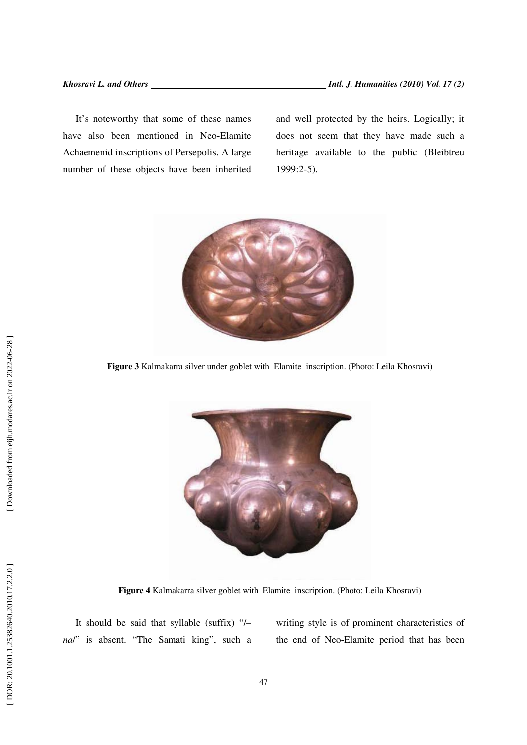It's noteworthy that some of these names have also been mentioned in Neo-Elamite Achaemenid inscriptions of Persepolis. A large number of these objects have been inherited and well protected by the heirs. Logically; it does not seem that they have made such a heritage available to the public (Bleibtreu 1999:2-5).



**Figure 3** Kalmakarra silver under goblet with Elamite inscription. (Photo: Leila Khosravi)



**Figure 4** Kalmakarra silver goblet with Elamite inscription. (Photo: Leila Khosravi)

It should be said that syllable (suffix) "/*– na*/" is absent. "The Samati king", such a writing style is of prominent characteristics of the end of Neo-Elamite period that has been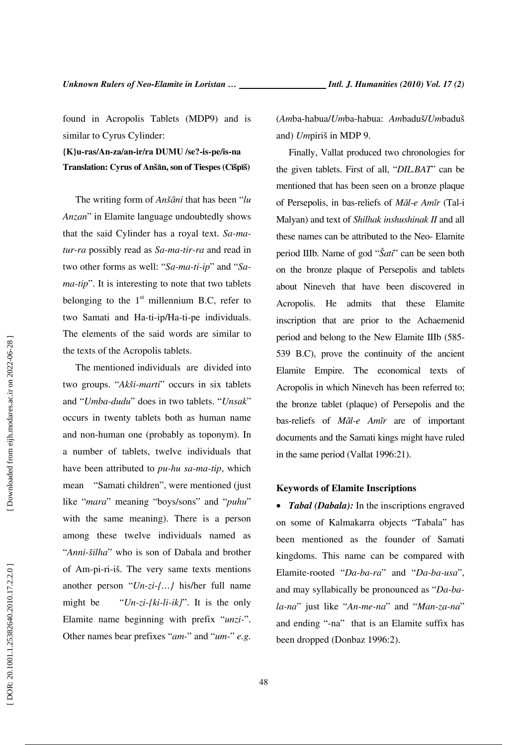found in Acropolis Tablets (MDP9) and is similar to Cyrus Cylinder:

**{K}u-ras/An-za/an-ir/ra DUMU /se?-is-pe/is-na Translation: Cyrus of Anš** ā**n, son of Tiespes (C** ī**šp**ī**š)** 

The writing form of *Anš*ā*ni* that has been "*lu Anzan*" in Elamite language undoubtedly shows that the said Cylinder has a royal text. *Sa-matur-ra* possibly read as *Sa-ma-tir-ra* and read in two other forms as well: "*Sa-ma-ti-ip*" and "*Sama-tip*". It is interesting to note that two tablets belonging to the  $1<sup>st</sup>$  millennium B.C, refer to two Samati and Ha-ti-ip/Ha-ti-pe individuals. The elements of the said words are similar to the texts of the Acropolis tablets.

The mentioned individuals are divided into two groups. "*Akši-marti*" occurs in six tablets and "*Umba-dudu*" does in two tablets. "*Unsak*" occurs in twenty tablets both as human name and non-human one (probably as toponym). In a number of tablets, twelve individuals that have been attributed to *pu-hu sa-ma-tip*, which mean "Samati children", were mentioned (just like "*mara*" meaning "boys/sons" and "*puhu*" with the same meaning). There is a person among these twelve individuals named as "*Anni-šilha*" who is son of Dabala and brother of Am-pi-ri-iš. The very same texts mentions another person "*Un-zi-{…}* his/her full name might be "*Un-zi-{ki-li-ik}*". It is the only Elamite name beginning with prefix "*unzi-*". Other names bear prefixes "*am-*" and "*um-*" *e.g.*

(*Am*ba-habua/*Um*ba-habua: *Am*baduš/*Um*baduš and) *Um*piriš in MDP 9.

Finally, Vallat produced two chronologies for the given tablets. First of all, "*DIL.BAT*" can be mentioned that has been seen on a bronze plaque of Persepolis, in bas-reliefs of *M*ā*l-e Am* ī*r* (Tal-i Malyan) and text of *Shilhak inshushinak II* and all these names can be attributed to the Neo- Elamite period IIIb. Name of god "*Šati*" can be seen both on the bronze plaque of Persepolis and tablets about Nineveh that have been discovered in Acropolis. He admits that these Elamite inscription that are prior to the Achaemenid period and belong to the New Elamite IIIb (585- 539 B.C), prove the continuity of the ancient Elamite Empire. The economical texts of Acropolis in which Nineveh has been referred to; the bronze tablet (plaque) of Persepolis and the bas-reliefs of *M*ā*l-e Am* ī*r* are of important documents and the Samati kings might have ruled in the same period (Vallat 1996:21).

#### **Keywords of Elamite Inscriptions**

• *Tabal (Dabala)*: In the inscriptions engraved on some of Kalmakarra objects "Tabala" has been mentioned as the founder of Samati kingdoms. This name can be compared with Elamite-rooted "*Da-ba-ra*" and "*Da-ba-usa*", and may syllabically be pronounced as "*Da-bala-na*" just like "*An-me-na*" and "*Man-za-na*" and ending "-na" that is an Elamite suffix has been dropped (Donbaz 1996:2).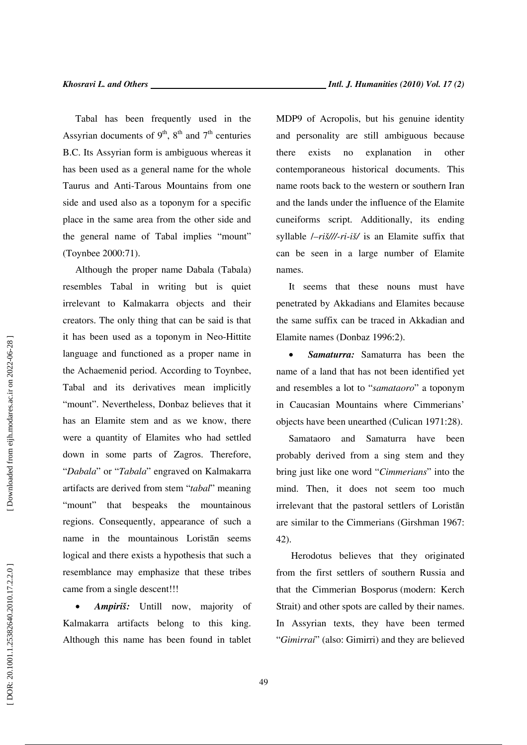Tabal has been frequently used in the Assyrian documents of  $9<sup>th</sup>$ ,  $8<sup>th</sup>$  and  $7<sup>th</sup>$  centuries B.C. Its Assyrian form is ambiguous whereas it has been used as a general name for the whole Taurus and Anti-Tarous Mountains from one side and used also as a toponym for a specific place in the same area from the other side and the general name of Tabal implies "mount" (Toynbee 2000:71).

Although the proper name Dabala (Tabala) resembles Tabal in writing but is quiet irrelevant to Kalmakarra objects and their creators. The only thing that can be said is that it has been used as a toponym in Neo-Hittite language and functioned as a proper name in the Achaemenid period. According to Toynbee, Tabal and its derivatives mean implicitly "mount". Nevertheless, Donbaz believes that it has an Elamite stem and as we know, there were a quantity of Elamites who had settled down in some parts of Zagros. Therefore, "*Dabala*" or "*Tabala*" engraved on Kalmakarra artifacts are derived from stem "*tabal*" meaning "mount" that bespeaks the mountainous regions. Consequently, appearance of such a name in the mountainous Lorist ān seems logical and there exists a hypothesis that such a resemblance may emphasize that these tribes came from a single descent!!!

• *Ampiriš:* Untill now, majority of Kalmakarra artifacts belong to this king. Although this name has been found in tablet MDP9 of Acropolis, but his genuine identity and personality are still ambiguous because there exists no explanation in other contemporaneous historical documents. This name roots back to the western or southern Iran and the lands under the influence of the Elamite cuneiforms script. Additionally, its ending syllable /*–riš///-ri-iš/* is an Elamite suffix that can be seen in a large number of Elamite names.

It seems that these nouns must have penetrated by Akkadians and Elamites because the same suffix can be traced in Akkadian and Elamite names (Donbaz 1996:2).

• *Samaturra:* Samaturra has been the name of a land that has not been identified yet and resembles a lot to "*samataoro*" a toponym in Caucasian Mountains where Cimmerians' objects have been unearthed (Culican 1971:28).

Samataoro and Samaturra have been probably derived from a sing stem and they bring just like one word "*Cimmerians*" into the mind. Then, it does not seem too much irrelevant that the pastoral settlers of Lorist ān are similar to the Cimmerians (Girshman 1967: 42).

 Herodotus believes that they originated from the first settlers of southern Russia and that the Cimmerian Bosporus (modern: Kerch Strait) and other spots are called by their names. In Assyrian texts, they have been termed "*Gimirrai*" (also: Gimirri) and they are believed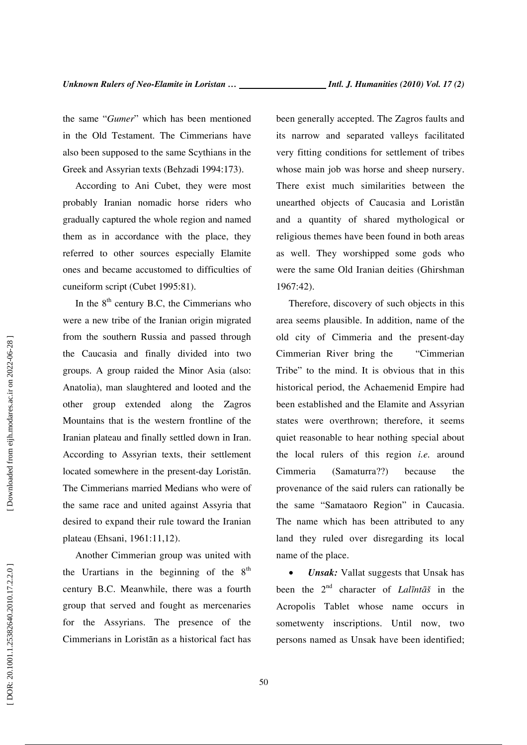the same "*Gumer*" which has been mentioned in the Old Testament. The Cimmerians have also been supposed to the same Scythians in the Greek and Assyrian texts (Behzadi 1994:173).

According to Ani Cubet, they were most probably Iranian nomadic horse riders who gradually captured the whole region and named them as in accordance with the place, they referred to other sources especially Elamite ones and became accustomed to difficulties of cuneiform script (Cubet 1995:81).

In the  $8<sup>th</sup>$  century B.C, the Cimmerians who were a new tribe of the Iranian origin migrated from the southern Russia and passed through the Caucasia and finally divided into two groups. A group raided the Minor Asia (also: Anatolia), man slaughtered and looted and the other group extended along the Zagros Mountains that is the western frontline of the Iranian plateau and finally settled down in Iran. According to Assyrian texts, their settlement located somewhere in the present-day Lorist ān. The Cimmerians married Medians who were of the same race and united against Assyria that desired to expand their rule toward the Iranian plateau (Ehsani, 1961:11,12).

Another Cimmerian group was united with the Urartians in the beginning of the  $8<sup>th</sup>$ century B.C. Meanwhile, there was a fourth group that served and fought as mercenaries for the Assyrians. The presence of the Cimmerians in Lorist ān as a historical fact has been generally accepted. The Zagros faults and its narrow and separated valleys facilitated very fitting conditions for settlement of tribes whose main job was horse and sheep nursery. There exist much similarities between the unearthed objects of Caucasia and Lorist ān and a quantity of shared mythological or religious themes have been found in both areas as well. They worshipped some gods who were the same Old Iranian deities (Ghirshman 1967:42).

Therefore, discovery of such objects in this area seems plausible. In addition, name of the old city of Cimmeria and the present-day Cimmerian River bring the "Cimmerian Tribe" to the mind. It is obvious that in this historical period, the Achaemenid Empire had been established and the Elamite and Assyrian states were overthrown; therefore, it seems quiet reasonable to hear nothing special about the local rulers of this region *i.e.* around Cimmeria (Samaturra??) because the provenance of the said rulers can rationally be the same "Samataoro Region" in Caucasia. The name which has been attributed to any land they ruled over disregarding its local name of the place.

• *Unsak:* Vallat suggests that Unsak has been the 2nd character of *Lal* ī*nt* ā *š* in the Acropolis Tablet whose name occurs in sometwenty inscriptions. Until now, two persons named as Unsak have been identified;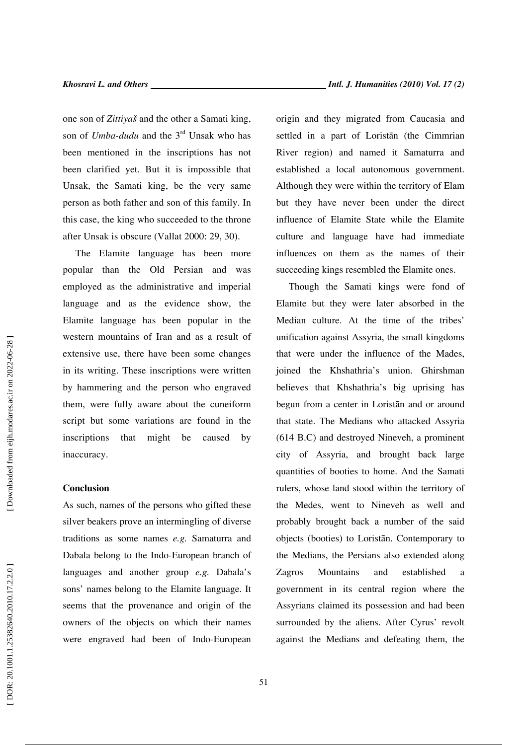one son of *Zittiyaš* and the other a Samati king, son of *Umba-dudu* and the 3rd Unsak who has been mentioned in the inscriptions has not been clarified yet. But it is impossible that Unsak, the Samati king, be the very same person as both father and son of this family. In this case, the king who succeeded to the throne after Unsak is obscure (Vallat 2000: 29, 30).

The Elamite language has been more popular than the Old Persian and was employed as the administrative and imperial language and as the evidence show, the Elamite language has been popular in the western mountains of Iran and as a result of extensive use, there have been some changes in its writing. These inscriptions were written by hammering and the person who engraved them, were fully aware about the cuneiform script but some variations are found in the inscriptions that might be caused by inaccuracy.

#### **Conclusion**

As such, names of the persons who gifted these silver beakers prove an intermingling of diverse traditions as some names *e.g.* Samaturra and Dabala belong to the Indo-European branch of languages and another group *e.g.* Dabala's sons' names belong to the Elamite language. It seems that the provenance and origin of the owners of the objects on which their names were engraved had been of Indo-European origin and they migrated from Caucasia and settled in a part of Lorist ān (the Cimmrian River region) and named it Samaturra and established a local autonomous government. Although they were within the territory of Elam but they have never been under the direct influence of Elamite State while the Elamite culture and language have had immediate influences on them as the names of their succeeding kings resembled the Elamite ones.

Though the Samati kings were fond of Elamite but they were later absorbed in the Median culture. At the time of the tribes' unification against Assyria, the small kingdoms that were under the influence of the Mades, joined the Khshathria's union. Ghirshman believes that Khshathria's big uprising has begun from a center in Lorist ān and or around that state. The Medians who attacked Assyria (614 B.C) and destroyed Nineveh, a prominent city of Assyria, and brought back large quantities of booties to home. And the Samati rulers, whose land stood within the territory of the Medes, went to Nineveh as well and probably brought back a number of the said objects (booties) to Lorist ān. Contemporary to the Medians, the Persians also extended along Zagros Mountains and established a government in its central region where the Assyrians claimed its possession and had been surrounded by the aliens. After Cyrus' revolt against the Medians and defeating them, the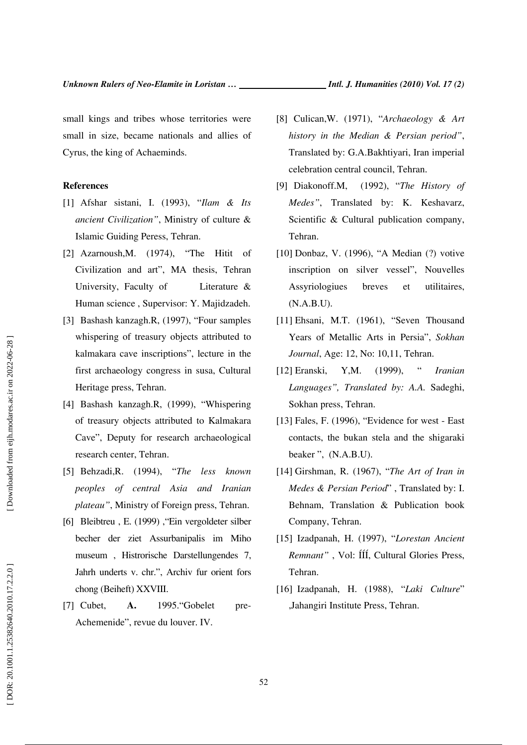small kings and tribes whose territories were small in size, became nationals and allies of Cyrus, the king of Achaeminds.

#### **References**

- [1] Afshar sistani, I. (1993), "*Ilam & Its ancient Civilization"*, Ministry of culture & Islamic Guiding Peress, Tehran.
- [2] Azarnoush, M. (1974), "The Hitit of Civilization and art", MA thesis, Tehran University, Faculty of Literature & Human science , Supervisor: Y. Majidzadeh.
- [3] Bashash kanzagh.R, (1997), "Four samples whispering of treasury objects attributed to kalmakara cave inscriptions", lecture in the first archaeology congress in susa, Cultural Heritage press, Tehran.
- [4] Bashash kanzagh.R, (1999), "Whispering of treasury objects attributed to Kalmakara Cave", Deputy for research archaeological research center, Tehran.
- [5] Behzadi,R. (1994), "*The less known peoples of central Asia and Iranian plateau"*, Ministry of Foreign press, Tehran.
- [6] Bleibtreu , E. (1999) ,"Ein vergoldeter silber becher der ziet Assurbanipalis im Miho museum , Histrorische Darstellungendes 7, Jahrh underts v. chr.", Archiv fur orient fors chong (Beiheft) XXVIII.
- [7] Cubet, **A.** 1995."Gobelet pre-Achemenide", revue du louver. IV.
- [8] Culican,W. (1971), "*Archaeology & Art history in the Median & Persian period"*, Translated by: G.A.Bakhtiyari, Iran imperial celebration central council, Tehran.
- [9] Diakonoff.M, (1992), "*The History of Medes"*, Translated by: K. Keshavarz, Scientific & Cultural publication company, Tehran.
- [10] Donbaz, V. (1996), "A Median (?) votive inscription on silver vessel", Nouvelles Assyriologiues breves et utilitaires, (N.A.B.U).
- [11] Ehsani, M.T. (1961), "Seven Thousand Years of Metallic Arts in Persia", *Sokhan Journal*, Age: 12, No: 10,11, Tehran.
- [12] Eranski, Y,M. (1999), " *Iranian Languages", Translated by: A.A.* Sadeghi, Sokhan press, Tehran.
- [13] Fales, F. (1996), "Evidence for west East contacts, the bukan stela and the shigaraki beaker ", (N.A.B.U).
- [14] Girshman, R. (1967), "*The Art of Iran in Medes & Persian Period*" , Translated by: I. Behnam, Translation & Publication book Company, Tehran.
- [15] Izadpanah, H. (1997), "*Lorestan Ancient Remnant"* , Vol: ÍÍÍ, Cultural Glories Press, Tehran.
- [16] Izadpanah, H. (1988), "*Laki Culture*" ,Jahangiri Institute Press, Tehran.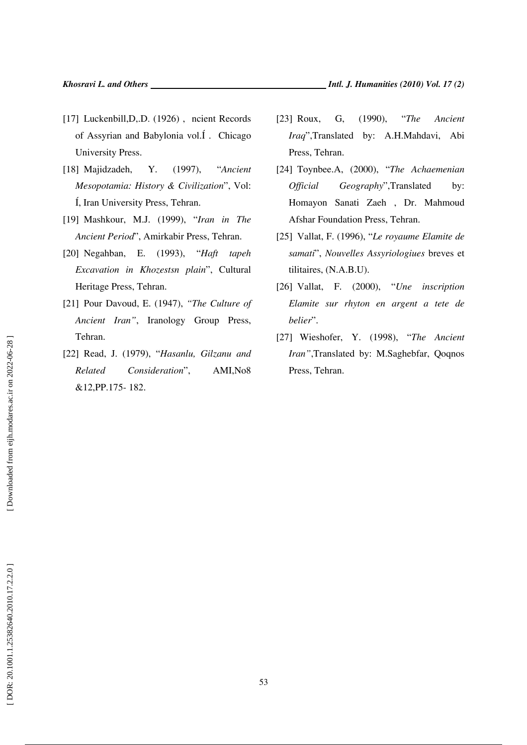- [17] Luckenbill, D,.D. (1926), ncient Records of Assyrian and Babylonia vol.Í . Chicago University Press.
- [18] Majidzadeh, Y. (1997), "*Ancient Mesopotamia: History & Civilization*", Vol: Í, Iran University Press, Tehran.
- [19] Mashkour, M.J. (1999), "*Iran in The Ancient Period*", Amirkabir Press, Tehran.
- [20] Negahban, E. (1993), "*Haft tapeh Excavation in Khozestsn plain*", Cultural Heritage Press, Tehran.
- [21] Pour Davoud, E. (1947), *"The Culture of Ancient Iran"*, Iranology Group Press, Tehran.
- [22] Read, J. (1979), "*Hasanlu, Gilzanu and Related Consideration*", AMI,No8 &12,PP.175- 182.
- [23] Roux, G, (1990), "*The Ancient Iraq*",Translated by: A.H.Mahdavi, Abi Press, Tehran.
- [24] Toynbee.A, (2000), "*The Achaemenian Official Geography*",Translated by: Homayon Sanati Zaeh , Dr. Mahmoud Afshar Foundation Press, Tehran.
- [25] Vallat, F. (1996), "*Le royaume Elamite de samati*", *Nouvelles Assyriologiues* breves et tilitaires, (N.A.B.U).
- [26] Vallat, F. (2000), "*Une inscription Elamite sur rhyton en argent a tete de belier*".
- [27] Wieshofer, Y. (1998), "*The Ancient Iran"*,Translated by: M.Saghebfar, Qoqnos Press, Tehran.